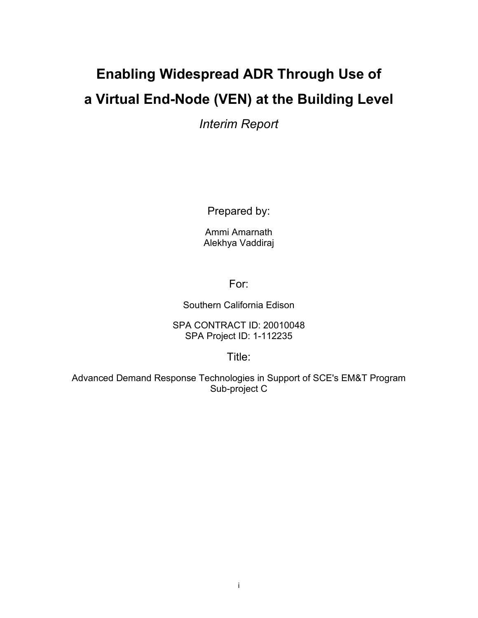### **Enabling Widespread ADR Through Use of a Virtual End-Node (VEN) at the Building Level**

*Interim Report*

Prepared by:

Ammi Amarnath Alekhya Vaddiraj

For:

Southern California Edison

SPA CONTRACT ID: 20010048 SPA Project ID: 1-112235

Title:

Advanced Demand Response Technologies in Support of SCE's EM&T Program Sub-project C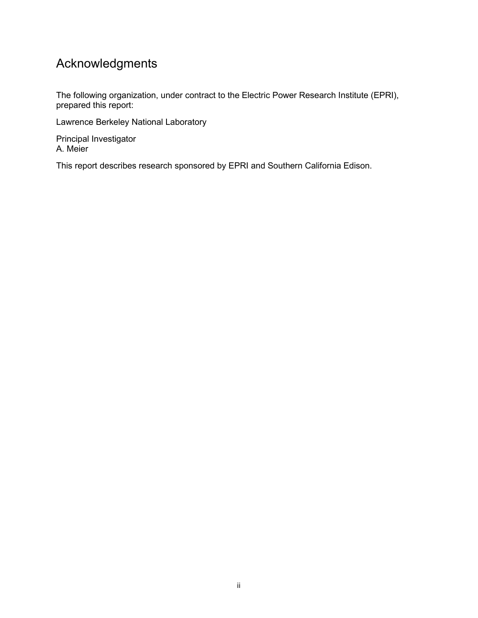### Acknowledgments

The following organization, under contract to the Electric Power Research Institute (EPRI), prepared this report:

Lawrence Berkeley National Laboratory

Principal Investigator A. Meier

This report describes research sponsored by EPRI and Southern California Edison.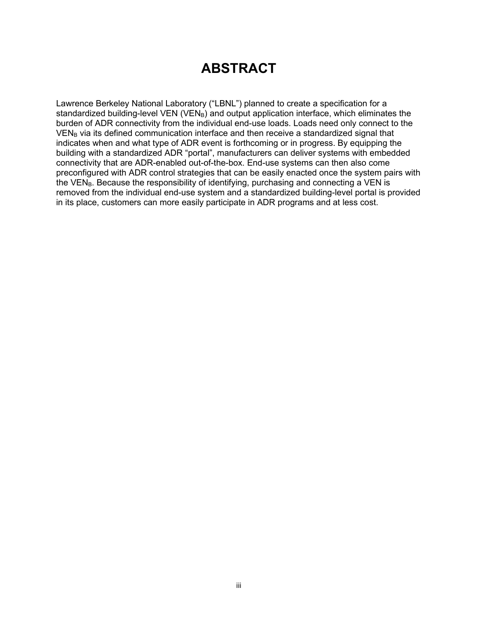### **ABSTRACT**

Lawrence Berkeley National Laboratory ("LBNL") planned to create a specification for a standardized building-level VEN (VEN $_B$ ) and output application interface, which eliminates the burden of ADR connectivity from the individual end-use loads. Loads need only connect to the VEN<sub>B</sub> via its defined communication interface and then receive a standardized signal that indicates when and what type of ADR event is forthcoming or in progress. By equipping the building with a standardized ADR "portal", manufacturers can deliver systems with embedded connectivity that are ADR-enabled out-of-the-box. End-use systems can then also come preconfigured with ADR control strategies that can be easily enacted once the system pairs with the  $VEN<sub>B</sub>$ . Because the responsibility of identifying, purchasing and connecting a VEN is removed from the individual end-use system and a standardized building-level portal is provided in its place, customers can more easily participate in ADR programs and at less cost.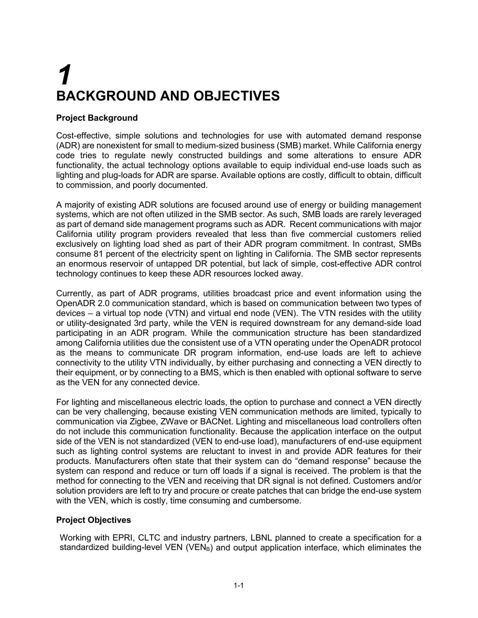## *1* **BACKGROUND AND OBJECTIVES**

### **Project Background**

Cost-effective, simple solutions and technologies for use with automated demand response (ADR) are nonexistent for small to medium-sized business (SMB) market. While California energy code tries to regulate newly constructed buildings and some alterations to ensure ADR functionality, the actual technology options available to equip individual end-use loads such as lighting and plug-loads for ADR are sparse. Available options are costly, difficult to obtain, difficult to commission, and poorly documented.

A majority of existing ADR solutions are focused around use of energy or building management systems, which are not often utilized in the SMB sector. As such, SMB loads are rarely leveraged as part of demand side management programs such as ADR. Recent communications with major California utility program providers revealed that less than five commercial customers relied exclusively on lighting load shed as part of their ADR program commitment. In contrast, SMBs consume 81 percent of the electricity spent on lighting in California. The SMB sector represents an enormous reservoir of untapped DR potential, but lack of simple, cost-effective ADR control technology continues to keep these ADR resources locked away.

Currently, as part of ADR programs, utilities broadcast price and event information using the OpenADR 2.0 communication standard, which is based on communication between two types of devices – a virtual top node (VTN) and virtual end node (VEN). The VTN resides with the utility or utility-designated 3rd party, while the VEN is required downstream for any demand-side load participating in an ADR program. While the communication structure has been standardized among California utilities due the consistent use of a VTN operating under the OpenADR protocol as the means to communicate DR program information, end-use loads are left to achieve connectivity to the utility VTN individually, by either purchasing and connecting a VEN directly to their equipment, or by connecting to a BMS, which is then enabled with optional software to serve as the VEN for any connected device.

For lighting and miscellaneous electric loads, the option to purchase and connect a VEN directly can be very challenging, because existing VEN communication methods are limited, typically to communication via Zigbee, ZWave or BACNet. Lighting and miscellaneous load controllers often do not include this communication functionality. Because the application interface on the output side of the VEN is not standardized (VEN to end-use load), manufacturers of end-use equipment such as lighting control systems are reluctant to invest in and provide ADR features for their products. Manufacturers often state that their system can do "demand response" because the system can respond and reduce or turn off loads if a signal is received. The problem is that the method for connecting to the VEN and receiving that DR signal is not defined. Customers and/or solution providers are left to try and procure or create patches that can bridge the end-use system with the VEN, which is costly, time consuming and cumbersome.

#### **Project Objectives**

Working with EPRI, CLTC and industry partners, LBNL planned to create a specification for a standardized building-level VEN (VEN $_B$ ) and output application interface, which eliminates the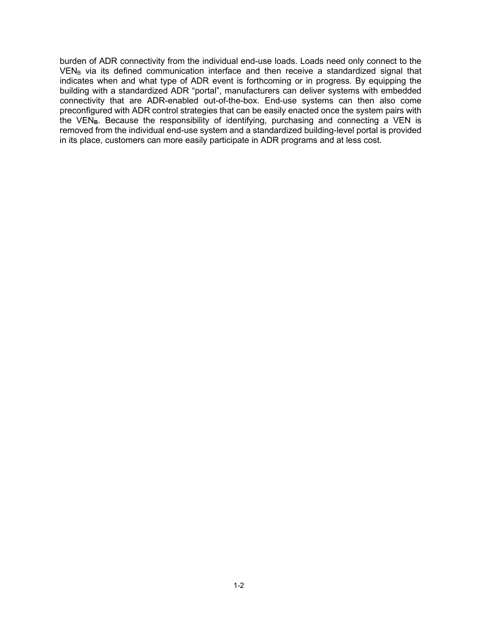burden of ADR connectivity from the individual end-use loads. Loads need only connect to the  $VEN<sub>B</sub>$  via its defined communication interface and then receive a standardized signal that indicates when and what type of ADR event is forthcoming or in progress. By equipping the building with a standardized ADR "portal", manufacturers can deliver systems with embedded connectivity that are ADR-enabled out-of-the-box. End-use systems can then also come preconfigured with ADR control strategies that can be easily enacted once the system pairs with the VEN<sub>B</sub>. Because the responsibility of identifying, purchasing and connecting a VEN is removed from the individual end-use system and a standardized building-level portal is provided in its place, customers can more easily participate in ADR programs and at less cost.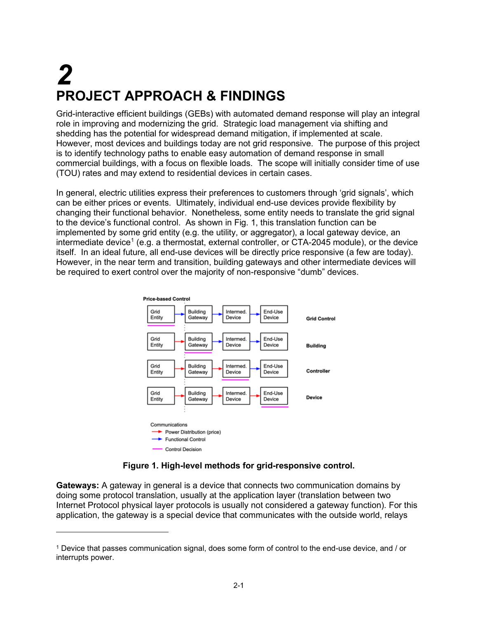## *2* **PROJECT APPROACH & FINDINGS**

Grid-interactive efficient buildings (GEBs) with automated demand response will play an integral role in improving and modernizing the grid. Strategic load management via shifting and shedding has the potential for widespread demand mitigation, if implemented at scale. However, most devices and buildings today are not grid responsive. The purpose of this project is to identify technology paths to enable easy automation of demand response in small commercial buildings, with a focus on flexible loads. The scope will initially consider time of use (TOU) rates and may extend to residential devices in certain cases.

In general, electric utilities express their preferences to customers through 'grid signals', which can be either prices or events. Ultimately, individual end-use devices provide flexibility by changing their functional behavior. Nonetheless, some entity needs to translate the grid signal to the device's functional control. As shown in Fig. 1, this translation function can be implemented by some grid entity (e.g. the utility, or aggregator), a local gateway device, an intermediate device<sup>[1](#page-6-0)</sup> (e.g. a thermostat, external controller, or CTA-2045 module), or the device itself. In an ideal future, all end-use devices will be directly price responsive (a few are today). However, in the near term and transition, building gateways and other intermediate devices will be required to exert control over the majority of non-responsive "dumb" devices.



### **Figure 1. High-level methods for grid-responsive control.**

**Gateways:** A gateway in general is a device that connects two communication domains by doing some protocol translation, usually at the application layer (translation between two Internet Protocol physical layer protocols is usually not considered a gateway function). For this application, the gateway is a special device that communicates with the outside world, relays

<span id="page-6-0"></span><sup>1</sup> Device that passes communication signal, does some form of control to the end-use device, and / or interrupts power.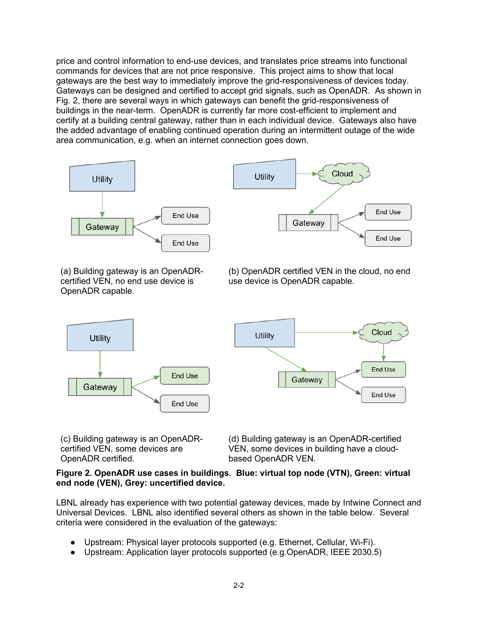price and control information to end-use devices, and translates price streams into functional commands for devices that are not price responsive. This project aims to show that local gateways are the best way to immediately improve the grid-responsiveness of devices today. Gateways can be designed and certified to accept grid signals, such as OpenADR. As shown in Fig. 2, there are several ways in which gateways can benefit the grid-responsiveness of buildings in the near-term. OpenADR is currently far more cost-efficient to implement and certify at a building central gateway, rather than in each individual device. Gateways also have the added advantage of enabling continued operation during an intermittent outage of the wide area communication, e.g. when an internet connection goes down.



(a) Building gateway is an OpenADRcertified VEN, no end use device is OpenADR capable.

**Utility** 

Gateway

(b) OpenADR certified VEN in the cloud, no end use device is OpenADR capable.



(c) Building gateway is an OpenADRcertified VEN, some devices are OpenADR certified.

End Use

End Use

(d) Building gateway is an OpenADR-certified VEN, some devices in building have a cloudbased OpenADR VEN.

#### **Figure 2. OpenADR use cases in buildings. Blue: virtual top node (VTN), Green: virtual end node (VEN), Grey: uncertified device.**

LBNL already has experience with two potential gateway devices, made by Intwine Connect and Universal Devices. LBNL also identified several others as shown in the table below. Several criteria were considered in the evaluation of the gateways:

- Upstream: Physical layer protocols supported (e.g. Ethernet, Cellular, Wi-Fi).
- Upstream: Application layer protocols supported (e.g.OpenADR, IEEE 2030.5)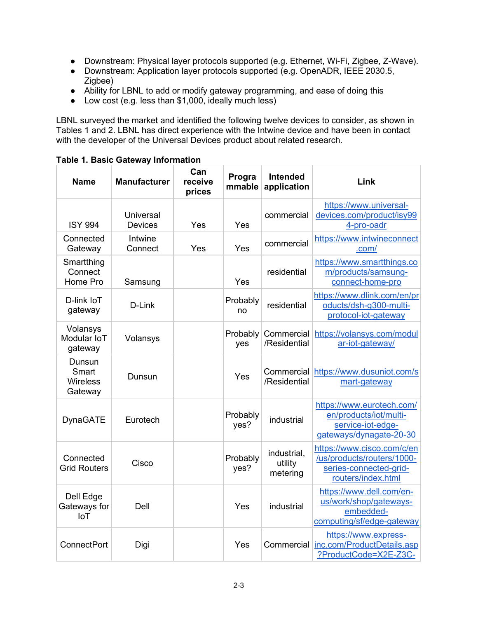- Downstream: Physical layer protocols supported (e.g. Ethernet, Wi-Fi, Zigbee, Z-Wave).
- Downstream: Application layer protocols supported (e.g. OpenADR, IEEE 2030.5, Zigbee)
- Ability for LBNL to add or modify gateway programming, and ease of doing this
- $\bullet$  Low cost (e.g. less than \$1,000, ideally much less)

LBNL surveyed the market and identified the following twelve devices to consider, as shown in Tables 1 and 2. LBNL has direct experience with the Intwine device and have been in contact with the developer of the Universal Devices product about related research.

| <b>Name</b>                                   | <b>Manufacturer</b>                | Can<br>receive<br>prices | Progra<br>mmable | <b>Intended</b><br>application     | Link                                                                                                     |
|-----------------------------------------------|------------------------------------|--------------------------|------------------|------------------------------------|----------------------------------------------------------------------------------------------------------|
| <b>ISY 994</b>                                | <b>Universal</b><br><b>Devices</b> | Yes                      | Yes              | commercial                         | https://www.universal-<br>devices.com/product/isy99<br>4-pro-oadr                                        |
| Connected<br>Gateway                          | Intwine<br>Connect                 | Yes                      | Yes              | commercial                         | https://www.intwineconnect<br>.com/                                                                      |
| Smartthing<br>Connect<br>Home Pro             | Samsung                            |                          | Yes              | residential                        | https://www.smartthings.co<br>m/products/samsung-<br>connect-home-pro                                    |
| D-link loT<br>gateway                         | D-Link                             |                          | Probably<br>no   | residential                        | https://www.dlink.com/en/pr<br>oducts/dsh-g300-multi-<br>protocol-iot-gateway                            |
| Volansys<br>Modular IoT<br>gateway            | Volansys                           |                          | Probably<br>yes  | Commercial<br>/Residential         | https://volansys.com/modul<br>ar-iot-gateway/                                                            |
| Dunsun<br>Smart<br><b>Wireless</b><br>Gateway | Dunsun                             |                          | Yes              | /Residential                       | Commercial https://www.dusuniot.com/s<br>mart-gateway                                                    |
| <b>DynaGATE</b>                               | Eurotech                           |                          | Probably<br>yes? | industrial                         | https://www.eurotech.com/<br>en/products/iot/multi-<br>service-iot-edge-<br>gateways/dynagate-20-30      |
| Connected<br><b>Grid Routers</b>              | Cisco                              |                          | Probably<br>yes? | industrial,<br>utility<br>metering | https://www.cisco.com/c/en<br>/us/products/routers/1000-<br>series-connected-grid-<br>routers/index.html |
| Dell Edge<br>Gateways for<br><b>IoT</b>       | Dell                               |                          | Yes              | industrial                         | https://www.dell.com/en-<br>us/work/shop/gateways-<br>embedded-<br>computing/sf/edge-gateway             |
| <b>ConnectPort</b>                            | Digi                               |                          | Yes              | Commercial                         | https://www.express-<br>inc.com/ProductDetails.asp<br>?ProductCode=X2E-Z3C-                              |

**Table 1. Basic Gateway Information**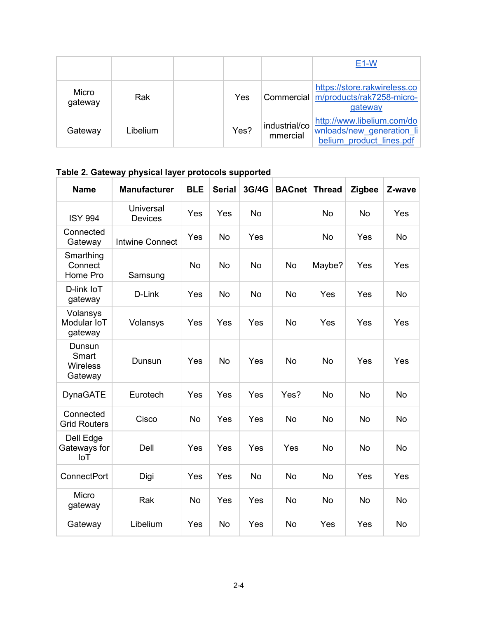|                  |          |      |                           | E <sub>1</sub> -W                                                                   |
|------------------|----------|------|---------------------------|-------------------------------------------------------------------------------------|
| Micro<br>gateway | Rak      | Yes  |                           | https://store.rakwireless.co<br>Commercial m/products/rak7258-micro-<br>gateway     |
| Gateway          | Libelium | Yes? | industrial/co<br>mmercial | http://www.libelium.com/do<br>wnloads/new generation li<br>belium product lines.pdf |

**Table 2. Gateway physical layer protocols supported**

| <b>Name</b>                                   | <b>Manufacturer</b>                | <b>BLE</b> | <b>Serial</b> | 3G/4G     | <b>BACnet</b> | <b>Thread</b> | <b>Zigbee</b> | Z-wave    |
|-----------------------------------------------|------------------------------------|------------|---------------|-----------|---------------|---------------|---------------|-----------|
| <b>ISY 994</b>                                | <b>Universal</b><br><b>Devices</b> | Yes        | Yes           | <b>No</b> |               | <b>No</b>     | <b>No</b>     | Yes       |
| Connected<br>Gateway                          | <b>Intwine Connect</b>             | Yes        | <b>No</b>     | Yes       |               | <b>No</b>     | Yes           | <b>No</b> |
| Smarthing<br>Connect<br>Home Pro              | Samsung                            | <b>No</b>  | <b>No</b>     | <b>No</b> | <b>No</b>     | Maybe?        | Yes           | Yes       |
| D-link IoT<br>gateway                         | D-Link                             | Yes        | <b>No</b>     | <b>No</b> | No            | Yes           | Yes           | <b>No</b> |
| Volansys<br>Modular IoT<br>gateway            | Volansys                           | Yes        | Yes           | Yes       | No            | Yes           | Yes           | Yes       |
| Dunsun<br>Smart<br><b>Wireless</b><br>Gateway | Dunsun                             | Yes        | <b>No</b>     | Yes       | <b>No</b>     | <b>No</b>     | Yes           | Yes       |
| <b>DynaGATE</b>                               | Eurotech                           | Yes        | Yes           | Yes       | Yes?          | <b>No</b>     | <b>No</b>     | <b>No</b> |
| Connected<br><b>Grid Routers</b>              | Cisco                              | <b>No</b>  | Yes           | Yes       | <b>No</b>     | <b>No</b>     | <b>No</b>     | <b>No</b> |
| Dell Edge<br>Gateways for<br><b>IoT</b>       | Dell                               | Yes        | Yes           | Yes       | Yes           | <b>No</b>     | <b>No</b>     | <b>No</b> |
| <b>ConnectPort</b>                            | Digi                               | Yes        | Yes           | <b>No</b> | No            | No            | Yes           | Yes       |
| Micro<br>gateway                              | Rak                                | <b>No</b>  | Yes           | Yes       | <b>No</b>     | No            | <b>No</b>     | <b>No</b> |
| Gateway                                       | Libelium                           | Yes        | <b>No</b>     | Yes       | <b>No</b>     | Yes           | Yes           | <b>No</b> |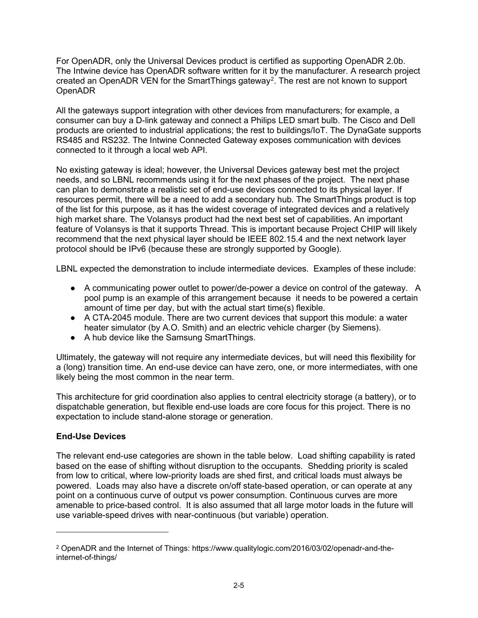For OpenADR, only the Universal Devices product is certified as supporting OpenADR 2.0b. The Intwine device has OpenADR software written for it by the manufacturer. A research project created an OpenADR VEN for the SmartThings gateway<sup>[2](#page-10-0)</sup>. The rest are not known to support OpenADR

All the gateways support integration with other devices from manufacturers; for example, a consumer can buy a D-link gateway and connect a Philips LED smart bulb. The Cisco and Dell products are oriented to industrial applications; the rest to buildings/IoT. The DynaGate supports RS485 and RS232. The Intwine Connected Gateway exposes communication with devices connected to it through a local web API.

No existing gateway is ideal; however, the Universal Devices gateway best met the project needs, and so LBNL recommends using it for the next phases of the project. The next phase can plan to demonstrate a realistic set of end-use devices connected to its physical layer. If resources permit, there will be a need to add a secondary hub. The SmartThings product is top of the list for this purpose, as it has the widest coverage of integrated devices and a relatively high market share. The Volansys product had the next best set of capabilities. An important feature of Volansys is that it supports Thread. This is important because Project CHIP will likely recommend that the next physical layer should be IEEE 802.15.4 and the next network layer protocol should be IPv6 (because these are strongly supported by Google).

LBNL expected the demonstration to include intermediate devices. Examples of these include:

- A communicating power outlet to power/de-power a device on control of the gateway. A pool pump is an example of this arrangement because it needs to be powered a certain amount of time per day, but with the actual start time(s) flexible.
- A CTA-2045 module. There are two current devices that support this module: a water heater simulator (by A.O. Smith) and an electric vehicle charger (by Siemens).
- A hub device like the Samsung SmartThings.

Ultimately, the gateway will not require any intermediate devices, but will need this flexibility for a (long) transition time. An end-use device can have zero, one, or more intermediates, with one likely being the most common in the near term.

This architecture for grid coordination also applies to central electricity storage (a battery), or to dispatchable generation, but flexible end-use loads are core focus for this project. There is no expectation to include stand-alone storage or generation.

### **End-Use Devices**

The relevant end-use categories are shown in the table below. Load shifting capability is rated based on the ease of shifting without disruption to the occupants. Shedding priority is scaled from low to critical, where low-priority loads are shed first, and critical loads must always be powered. Loads may also have a discrete on/off state-based operation, or can operate at any point on a continuous curve of output vs power consumption. Continuous curves are more amenable to price-based control. It is also assumed that all large motor loads in the future will use variable-speed drives with near-continuous (but variable) operation.

<span id="page-10-0"></span><sup>2</sup> OpenADR and the Internet of Things: https://www.qualitylogic.com/2016/03/02/openadr-and-theinternet-of-things/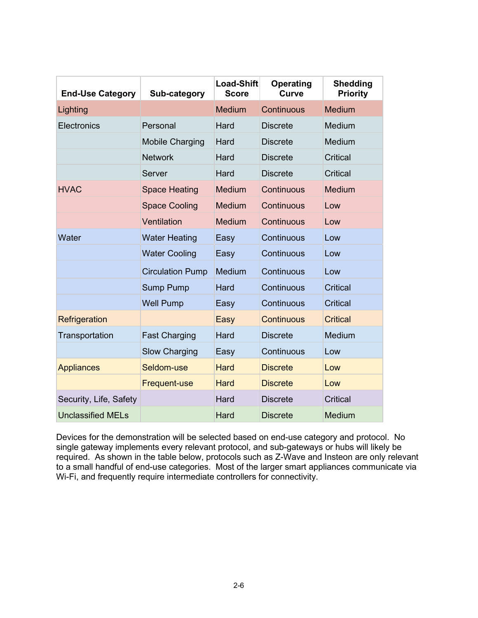| <b>End-Use Category</b>  | Sub-category            | <b>Load-Shift</b><br><b>Score</b> | <b>Operating</b><br><b>Curve</b> | <b>Shedding</b><br><b>Priority</b> |
|--------------------------|-------------------------|-----------------------------------|----------------------------------|------------------------------------|
| Lighting                 |                         | <b>Medium</b>                     | Continuous                       | <b>Medium</b>                      |
| <b>Electronics</b>       | Personal                | Hard                              | <b>Discrete</b>                  | Medium                             |
|                          | <b>Mobile Charging</b>  | Hard                              | <b>Discrete</b>                  | Medium                             |
|                          | <b>Network</b>          | Hard                              | <b>Discrete</b>                  | Critical                           |
|                          | Server                  | Hard                              | <b>Discrete</b>                  | Critical                           |
| <b>HVAC</b>              | <b>Space Heating</b>    | <b>Medium</b>                     | Continuous                       | <b>Medium</b>                      |
|                          | <b>Space Cooling</b>    | Medium                            | Continuous                       | Low                                |
|                          | Ventilation             | <b>Medium</b>                     | Continuous                       | Low                                |
| Water                    | <b>Water Heating</b>    | Easy                              | Continuous                       | Low                                |
|                          | <b>Water Cooling</b>    | Easy                              | Continuous                       | Low                                |
|                          | <b>Circulation Pump</b> | Medium                            | Continuous                       | Low                                |
|                          | <b>Sump Pump</b>        | Hard                              | Continuous                       | <b>Critical</b>                    |
|                          | <b>Well Pump</b>        | Easy                              | Continuous                       | Critical                           |
| Refrigeration            |                         | Easy                              | <b>Continuous</b>                | <b>Critical</b>                    |
| Transportation           | <b>Fast Charging</b>    | Hard                              | <b>Discrete</b>                  | Medium                             |
|                          | <b>Slow Charging</b>    | Easy                              | Continuous                       | Low                                |
| <b>Appliances</b>        | Seldom-use              | Hard                              | <b>Discrete</b>                  | Low                                |
|                          | <b>Frequent-use</b>     | <b>Hard</b>                       | <b>Discrete</b>                  | Low                                |
| Security, Life, Safety   |                         | Hard                              | <b>Discrete</b>                  | <b>Critical</b>                    |
| <b>Unclassified MELs</b> |                         | Hard                              | <b>Discrete</b>                  | <b>Medium</b>                      |

Devices for the demonstration will be selected based on end-use category and protocol. No single gateway implements every relevant protocol, and sub-gateways or hubs will likely be required. As shown in the table below, protocols such as Z-Wave and Insteon are only relevant to a small handful of end-use categories. Most of the larger smart appliances communicate via Wi-Fi, and frequently require intermediate controllers for connectivity.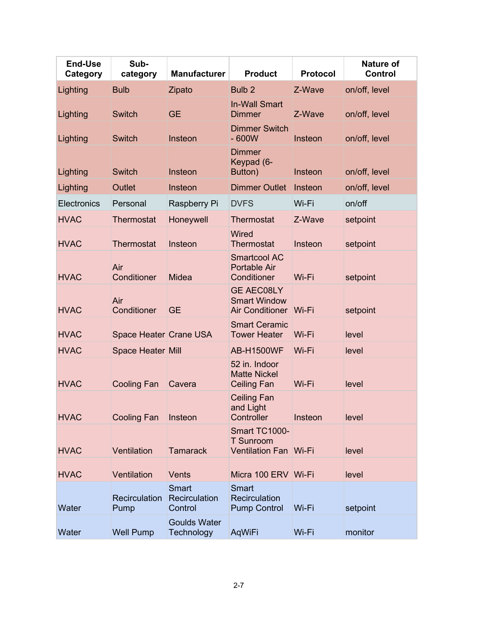| <b>End-Use</b><br>Category | Sub-<br>category             | <b>Manufacturer</b>                      | <b>Product</b>                                                      | <b>Protocol</b> | <b>Nature of</b><br><b>Control</b> |
|----------------------------|------------------------------|------------------------------------------|---------------------------------------------------------------------|-----------------|------------------------------------|
| Lighting                   | <b>Bulb</b>                  | Zipato                                   | Bulb <sub>2</sub>                                                   | Z-Wave          | on/off, level                      |
| Lighting                   | <b>Switch</b>                | <b>GE</b>                                | <b>In-Wall Smart</b><br><b>Dimmer</b>                               | Z-Wave          | on/off, level                      |
| Lighting                   | <b>Switch</b>                | Insteon                                  | <b>Dimmer Switch</b><br>$-600W$                                     | Insteon         | on/off, level                      |
| Lighting                   | <b>Switch</b>                | Insteon                                  | <b>Dimmer</b><br>Keypad (6-<br>Button)                              | Insteon         | on/off, level                      |
| Lighting                   | Outlet                       | Insteon                                  | <b>Dimmer Outlet</b>                                                | Insteon         | on/off, level                      |
| Electronics                | Personal                     | Raspberry Pi                             | <b>DVFS</b>                                                         | Wi-Fi           | on/off                             |
| <b>HVAC</b>                | <b>Thermostat</b>            | Honeywell                                | <b>Thermostat</b>                                                   | Z-Wave          | setpoint                           |
| <b>HVAC</b>                | <b>Thermostat</b>            | Insteon                                  | Wired<br><b>Thermostat</b>                                          | Insteon         | setpoint                           |
| <b>HVAC</b>                | Air<br>Conditioner           | <b>Midea</b>                             | <b>Smartcool AC</b><br><b>Portable Air</b><br>Conditioner           | Wi-Fi           | setpoint                           |
| <b>HVAC</b>                | Air<br>Conditioner           | <b>GE</b>                                | <b>GE AEC08LY</b><br><b>Smart Window</b><br>Air Conditioner   Wi-Fi |                 | setpoint                           |
| <b>HVAC</b>                | Space Heater Crane USA       |                                          | <b>Smart Ceramic</b><br><b>Tower Heater</b>                         | Wi-Fi           | level                              |
| <b>HVAC</b>                | <b>Space Heater Mill</b>     |                                          | <b>AB-H1500WF</b>                                                   | Wi-Fi           | level                              |
| <b>HVAC</b>                | <b>Cooling Fan</b>           | Cavera                                   | 52 in. Indoor<br><b>Matte Nickel</b><br><b>Ceiling Fan</b>          | Wi-Fi           | level                              |
| <b>HVAC</b>                | <b>Cooling Fan</b>           | Insteon                                  | <b>Ceiling Fan</b><br>and Light<br>Controller                       | Insteon         | level                              |
| <b>HVAC</b>                | Ventilation                  | <b>Tamarack</b>                          | Smart TC1000-<br><b>T</b> Sunroom<br><b>Ventilation Fan Wi-Fi</b>   |                 | level                              |
| <b>HVAC</b>                | Ventilation                  | <b>Vents</b>                             | Micra 100 ERV Wi-Fi                                                 |                 | level                              |
| Water                      | <b>Recirculation</b><br>Pump | <b>Smart</b><br>Recirculation<br>Control | Smart<br>Recirculation<br><b>Pump Control</b>                       | Wi-Fi           | setpoint                           |
| Water                      | <b>Well Pump</b>             | <b>Goulds Water</b><br>Technology        | AqWiFi                                                              | Wi-Fi           | monitor                            |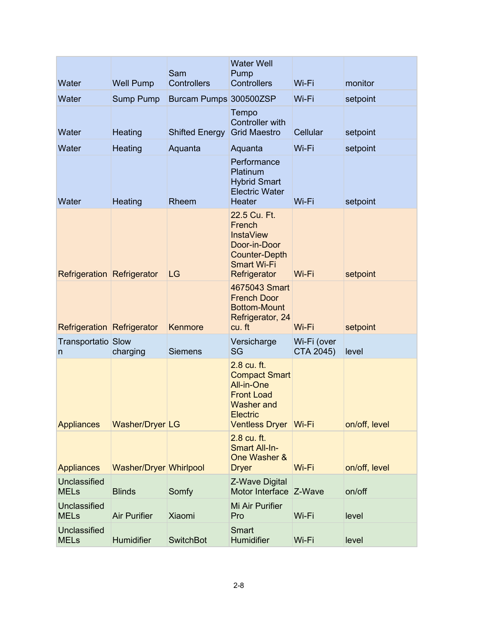|                                    |                        |                           | <b>Water Well</b>                                                                                                                       |                          |               |
|------------------------------------|------------------------|---------------------------|-----------------------------------------------------------------------------------------------------------------------------------------|--------------------------|---------------|
| Water                              | <b>Well Pump</b>       | Sam<br><b>Controllers</b> | Pump<br><b>Controllers</b>                                                                                                              | Wi-Fi                    | monitor       |
| Water                              | <b>Sump Pump</b>       | Burcam Pumps 300500ZSP    |                                                                                                                                         | Wi-Fi                    | setpoint      |
| Water                              | Heating                | <b>Shifted Energy</b>     | Tempo<br><b>Controller with</b><br><b>Grid Maestro</b>                                                                                  | Cellular                 | setpoint      |
| Water                              | Heating                | Aquanta                   | Aquanta                                                                                                                                 | Wi-Fi                    | setpoint      |
| Water                              | Heating                | Rheem                     | Performance<br>Platinum<br><b>Hybrid Smart</b><br><b>Electric Water</b><br>Heater                                                       | Wi-Fi                    | setpoint      |
| <b>Refrigeration Refrigerator</b>  |                        | LG                        | 22.5 Cu. Ft.<br>French<br><b>InstaView</b><br>Door-in-Door<br><b>Counter-Depth</b><br><b>Smart Wi-Fi</b><br>Refrigerator                | Wi-Fi                    | setpoint      |
| <b>Refrigeration Refrigerator</b>  |                        | Kenmore                   | 4675043 Smart<br><b>French Door</b><br><b>Bottom-Mount</b><br>Refrigerator, 24<br>cu. ft                                                | Wi-Fi                    | setpoint      |
| Transportatio Slow<br>n            | charging               | <b>Siemens</b>            | Versicharge<br>SG                                                                                                                       | Wi-Fi (over<br>CTA 2045) | level         |
| <b>Appliances</b>                  | Washer/Dryer LG        |                           | 2.8 cu. ft.<br><b>Compact Smart</b><br>All-in-One<br><b>Front Load</b><br><b>Washer and</b><br><b>Electric</b><br><b>Ventless Dryer</b> | Wi-Fi                    | on/off, level |
| <b>Appliances</b>                  | Washer/Dryer Whirlpool |                           | 2.8 cu. ft.<br><b>Smart All-In-</b><br>One Washer &<br><b>Dryer</b>                                                                     | Wi-Fi                    | on/off, level |
| Unclassified<br><b>MELs</b>        | <b>Blinds</b>          | Somfy                     | Z-Wave Digital<br>Motor Interface Z-Wave                                                                                                |                          | on/off        |
| Unclassified<br><b>MELs</b>        | <b>Air Purifier</b>    | <b>Xiaomi</b>             | Mi Air Purifier<br>Pro                                                                                                                  | Wi-Fi                    | level         |
| <b>Unclassified</b><br><b>MELs</b> | Humidifier             | <b>SwitchBot</b>          | Smart<br>Humidifier                                                                                                                     | Wi-Fi                    | level         |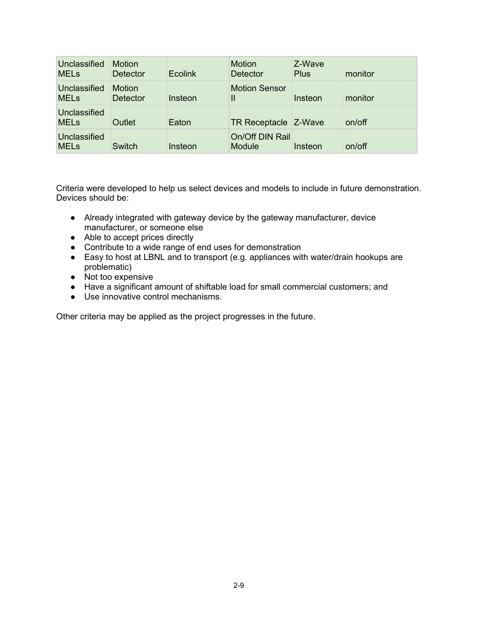| Unclassified<br><b>MELs</b> | <b>Motion</b><br>Detector        | <b>Ecolink</b> | <b>Motion</b><br><b>Detector</b>     | Z-Wave<br><b>Plus</b> | monitor |
|-----------------------------|----------------------------------|----------------|--------------------------------------|-----------------------|---------|
| Unclassified<br><b>MELs</b> | <b>Motion</b><br><b>Detector</b> | Insteon        | <b>Motion Sensor</b><br>$\mathbf{I}$ | Insteon               | monitor |
| Unclassified<br><b>MELs</b> | Outlet                           | Eaton          | TR Receptacle Z-Wave                 |                       | on/off  |
| Unclassified<br><b>MELs</b> | Switch                           | Insteon        | On/Off DIN Rail<br><b>Module</b>     | Insteon               | on/off  |

Criteria were developed to help us select devices and models to include in future demonstration. Devices should be:

- Already integrated with gateway device by the gateway manufacturer, device manufacturer, or someone else
- Able to accept prices directly
- Contribute to a wide range of end uses for demonstration
- Easy to host at LBNL and to transport (e.g. appliances with water/drain hookups are problematic)
- Not too expensive
- Have a significant amount of shiftable load for small commercial customers; and
- Use innovative control mechanisms.

Other criteria may be applied as the project progresses in the future.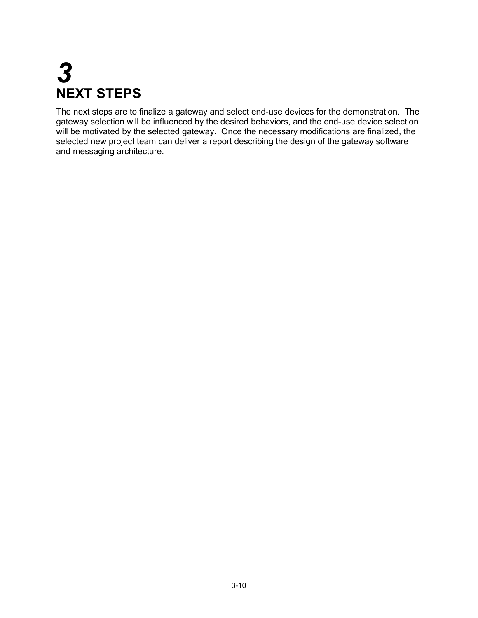## *3* **NEXT STEPS**

The next steps are to finalize a gateway and select end-use devices for the demonstration. The gateway selection will be influenced by the desired behaviors, and the end-use device selection will be motivated by the selected gateway. Once the necessary modifications are finalized, the selected new project team can deliver a report describing the design of the gateway software and messaging architecture.